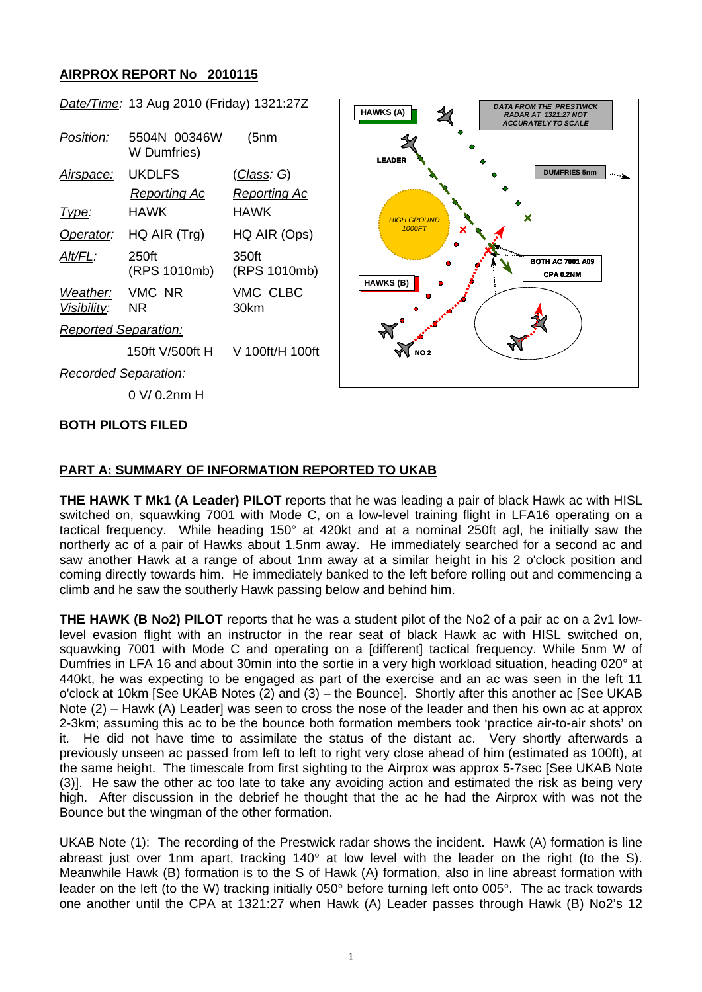## **AIRPROX REPORT No 2010115**

|                             | Date/Time: 13 Aug 2010 (Friday) 1321:27Z |                       | <b>DATA FROM THE PRESTWICK</b><br><b>HAWKS (A)</b><br><b>RADAR AT 1321:27 NOT</b><br><b>ACCURATELY TO SCALE</b> |
|-----------------------------|------------------------------------------|-----------------------|-----------------------------------------------------------------------------------------------------------------|
| Position:                   | 5504N 00346W<br>W Dumfries)              | (5nm                  | <b>LEADER</b>                                                                                                   |
| <u>Airspace:</u>            | <b>UKDLFS</b>                            | <u>(Class</u> : G)    | <b>DUMFRIES 5nm</b><br>جي به                                                                                    |
|                             | <b>Reporting Ac</b>                      | <b>Reporting Ac</b>   |                                                                                                                 |
| Type:                       | <b>HAWK</b>                              | <b>HAWK</b>           | ×<br><b>HIGH GROUND</b><br>1000FT<br><b>BOTH AC 7001 A09</b><br>CPA 0.2NM<br>HAWKS (B)                          |
| Operator:                   | $HQ$ AIR $(Trg)$                         | HQ AIR (Ops)          |                                                                                                                 |
| Alt/FL:                     | 250ft<br>(RPS 1010mb)                    | 350ft<br>(RPS 1010mb) |                                                                                                                 |
| Weather:<br>Visibility:     | VMC NR<br>NR.                            | VMC CLBC<br>30km      |                                                                                                                 |
| <b>Reported Separation:</b> |                                          |                       |                                                                                                                 |
|                             | 150ft V/500ft H                          | V 100ft/H 100ft       | <b>NO2</b>                                                                                                      |
| <b>Recorded Separation:</b> |                                          |                       |                                                                                                                 |
|                             | 0 V/0.2nm H                              |                       |                                                                                                                 |
|                             |                                          |                       |                                                                                                                 |

## **BOTH PILOTS FILED**

#### **PART A: SUMMARY OF INFORMATION REPORTED TO UKAB**

**THE HAWK T Mk1 (A Leader) PILOT** reports that he was leading a pair of black Hawk ac with HISL switched on, squawking 7001 with Mode C, on a low-level training flight in LFA16 operating on a tactical frequency. While heading 150° at 420kt and at a nominal 250ft agl, he initially saw the northerly ac of a pair of Hawks about 1.5nm away. He immediately searched for a second ac and saw another Hawk at a range of about 1nm away at a similar height in his 2 o'clock position and coming directly towards him. He immediately banked to the left before rolling out and commencing a climb and he saw the southerly Hawk passing below and behind him.

**THE HAWK (B No2) PILOT** reports that he was a student pilot of the No2 of a pair ac on a 2v1 lowlevel evasion flight with an instructor in the rear seat of black Hawk ac with HISL switched on, squawking 7001 with Mode C and operating on a [different] tactical frequency. While 5nm W of Dumfries in LFA 16 and about 30min into the sortie in a very high workload situation, heading 020° at 440kt, he was expecting to be engaged as part of the exercise and an ac was seen in the left 11 o'clock at 10km [See UKAB Notes (2) and (3) – the Bounce]. Shortly after this another ac [See UKAB Note (2) – Hawk (A) Leader] was seen to cross the nose of the leader and then his own ac at approx 2-3km; assuming this ac to be the bounce both formation members took 'practice air-to-air shots' on it. He did not have time to assimilate the status of the distant ac. Very shortly afterwards a previously unseen ac passed from left to left to right very close ahead of him (estimated as 100ft), at the same height. The timescale from first sighting to the Airprox was approx 5-7sec [See UKAB Note (3)]. He saw the other ac too late to take any avoiding action and estimated the risk as being very high. After discussion in the debrief he thought that the ac he had the Airprox with was not the Bounce but the wingman of the other formation.

UKAB Note (1): The recording of the Prestwick radar shows the incident. Hawk (A) formation is line abreast just over 1nm apart, tracking 140 $^{\circ}$  at low level with the leader on the right (to the S). Meanwhile Hawk (B) formation is to the S of Hawk (A) formation, also in line abreast formation with leader on the left (to the W) tracking initially 050° before turning left onto 005°. The ac track towards one another until the CPA at 1321:27 when Hawk (A) Leader passes through Hawk (B) No2's 12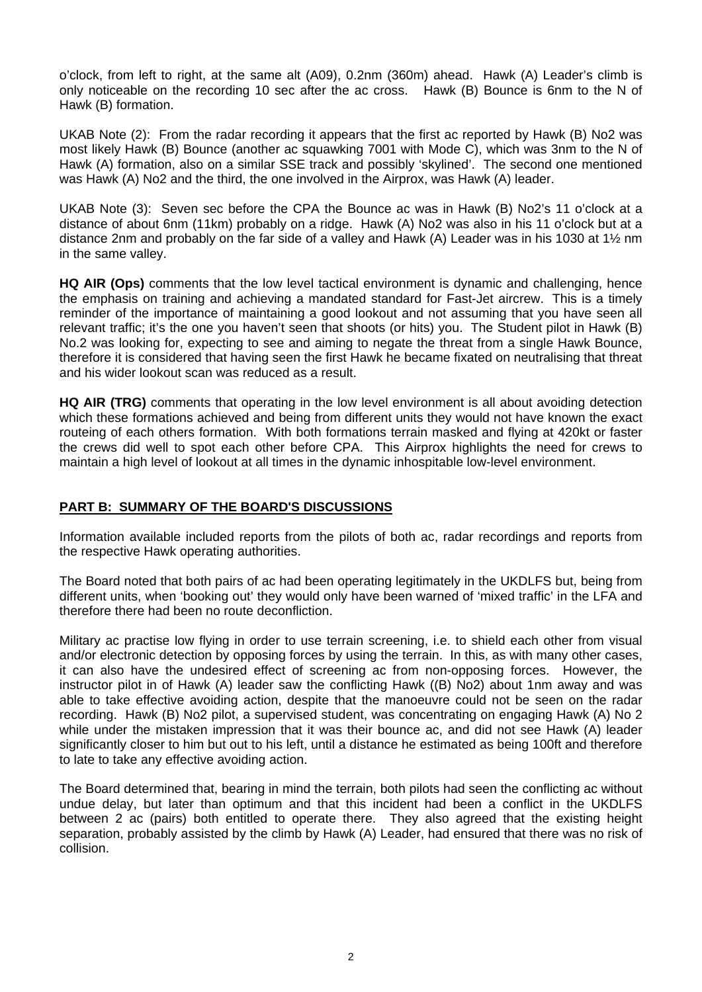o'clock, from left to right, at the same alt (A09), 0.2nm (360m) ahead. Hawk (A) Leader's climb is only noticeable on the recording 10 sec after the ac cross. Hawk (B) Bounce is 6nm to the N of Hawk (B) formation.

UKAB Note (2): From the radar recording it appears that the first ac reported by Hawk (B) No2 was most likely Hawk (B) Bounce (another ac squawking 7001 with Mode C), which was 3nm to the N of Hawk (A) formation, also on a similar SSE track and possibly 'skylined'. The second one mentioned was Hawk (A) No2 and the third, the one involved in the Airprox, was Hawk (A) leader.

UKAB Note (3): Seven sec before the CPA the Bounce ac was in Hawk (B) No2's 11 o'clock at a distance of about 6nm (11km) probably on a ridge. Hawk (A) No2 was also in his 11 o'clock but at a distance 2nm and probably on the far side of a valley and Hawk (A) Leader was in his 1030 at 1½ nm in the same valley.

**HQ AIR (Ops)** comments that the low level tactical environment is dynamic and challenging, hence the emphasis on training and achieving a mandated standard for Fast-Jet aircrew. This is a timely reminder of the importance of maintaining a good lookout and not assuming that you have seen all relevant traffic; it's the one you haven't seen that shoots (or hits) you. The Student pilot in Hawk (B) No.2 was looking for, expecting to see and aiming to negate the threat from a single Hawk Bounce, therefore it is considered that having seen the first Hawk he became fixated on neutralising that threat and his wider lookout scan was reduced as a result.

**HQ AIR (TRG)** comments that operating in the low level environment is all about avoiding detection which these formations achieved and being from different units they would not have known the exact routeing of each others formation. With both formations terrain masked and flying at 420kt or faster the crews did well to spot each other before CPA. This Airprox highlights the need for crews to maintain a high level of lookout at all times in the dynamic inhospitable low-level environment.

## **PART B: SUMMARY OF THE BOARD'S DISCUSSIONS**

Information available included reports from the pilots of both ac, radar recordings and reports from the respective Hawk operating authorities.

The Board noted that both pairs of ac had been operating legitimately in the UKDLFS but, being from different units, when 'booking out' they would only have been warned of 'mixed traffic' in the LFA and therefore there had been no route deconfliction.

Military ac practise low flying in order to use terrain screening, i.e. to shield each other from visual and/or electronic detection by opposing forces by using the terrain. In this, as with many other cases, it can also have the undesired effect of screening ac from non-opposing forces. However, the instructor pilot in of Hawk (A) leader saw the conflicting Hawk ((B) No2) about 1nm away and was able to take effective avoiding action, despite that the manoeuvre could not be seen on the radar recording. Hawk (B) No2 pilot, a supervised student, was concentrating on engaging Hawk (A) No 2 while under the mistaken impression that it was their bounce ac, and did not see Hawk (A) leader significantly closer to him but out to his left, until a distance he estimated as being 100ft and therefore to late to take any effective avoiding action.

The Board determined that, bearing in mind the terrain, both pilots had seen the conflicting ac without undue delay, but later than optimum and that this incident had been a conflict in the UKDLFS between 2 ac (pairs) both entitled to operate there. They also agreed that the existing height separation, probably assisted by the climb by Hawk (A) Leader, had ensured that there was no risk of collision.